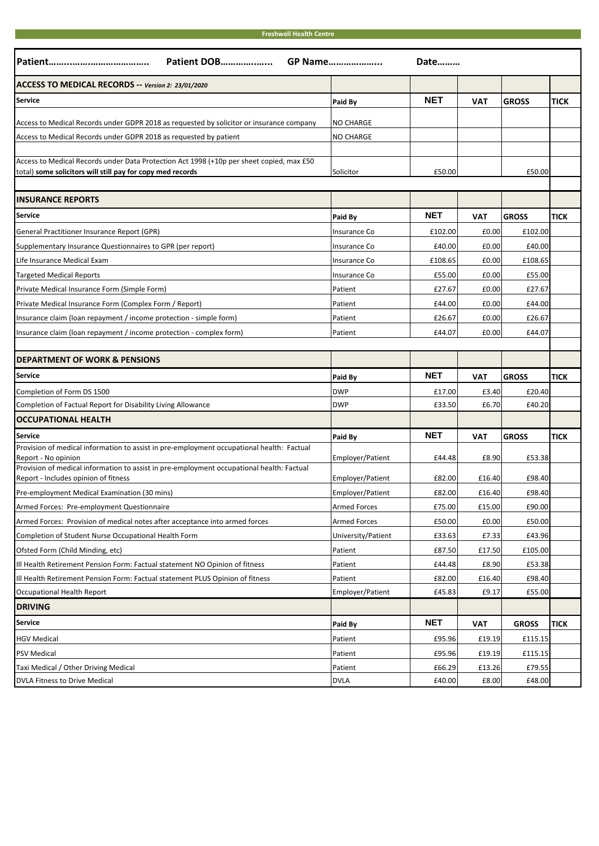#### **Freshwell Health Centre**

| Patient DOB<br>GP Name<br>Date                                                                                                    |                     |            |            |              |             |  |  |
|-----------------------------------------------------------------------------------------------------------------------------------|---------------------|------------|------------|--------------|-------------|--|--|
| ACCESS TO MEDICAL RECORDS -- Version 2: 23/01/2020                                                                                |                     |            |            |              |             |  |  |
| Service                                                                                                                           | Paid By             | <b>NET</b> | <b>VAT</b> | <b>GROSS</b> | <b>TICK</b> |  |  |
| Access to Medical Records under GDPR 2018 as requested by solicitor or insurance company                                          | <b>NO CHARGE</b>    |            |            |              |             |  |  |
| Access to Medical Records under GDPR 2018 as requested by patient                                                                 | <b>NO CHARGE</b>    |            |            |              |             |  |  |
|                                                                                                                                   |                     |            |            |              |             |  |  |
| Access to Medical Records under Data Protection Act 1998 (+10p per sheet copied, max £50                                          |                     |            |            |              |             |  |  |
| total) some solicitors will still pay for copy med records                                                                        | Solicitor           | £50.00     |            | £50.00       |             |  |  |
| <b>INSURANCE REPORTS</b>                                                                                                          |                     |            |            |              |             |  |  |
| <b>Service</b>                                                                                                                    | Paid By             | <b>NET</b> | VAT        | <b>GROSS</b> | <b>TICK</b> |  |  |
| General Practitioner Insurance Report (GPR)                                                                                       | Insurance Co        | £102.00    | £0.00      | £102.00      |             |  |  |
| Supplementary Insurance Questionnaires to GPR (per report)                                                                        | Insurance Co        | £40.00     | £0.00      | £40.00       |             |  |  |
| Life Insurance Medical Exam                                                                                                       | <b>Insurance Co</b> | £108.65    | £0.00      | £108.65      |             |  |  |
| Targeted Medical Reports                                                                                                          | Insurance Co        | £55.00     | £0.00      | £55.00       |             |  |  |
| Private Medical Insurance Form (Simple Form)                                                                                      | Patient             | £27.67     | £0.00      | £27.67       |             |  |  |
| Private Medical Insurance Form (Complex Form / Report)                                                                            | Patient             | £44.00     | £0.00      | £44.00       |             |  |  |
| Insurance claim (Ioan repayment / income protection - simple form)                                                                | Patient             | £26.67     | £0.00      | £26.67       |             |  |  |
| Insurance claim (Ioan repayment / income protection - complex form)                                                               | Patient             | £44.07     | £0.00      | £44.07       |             |  |  |
|                                                                                                                                   |                     |            |            |              |             |  |  |
| <b>DEPARTMENT OF WORK &amp; PENSIONS</b>                                                                                          |                     |            |            |              |             |  |  |
| <b>Service</b>                                                                                                                    | Paid By             | <b>NET</b> | <b>VAT</b> | <b>GROSS</b> | <b>TICK</b> |  |  |
|                                                                                                                                   |                     |            |            |              |             |  |  |
| Completion of Form DS 1500                                                                                                        | <b>DWP</b>          | £17.00     | £3.40      | £20.40       |             |  |  |
| Completion of Factual Report for Disability Living Allowance                                                                      | <b>DWP</b>          | £33.50     | £6.70      | £40.20       |             |  |  |
| <b>OCCUPATIONAL HEALTH</b>                                                                                                        |                     |            |            |              |             |  |  |
| <b>Service</b>                                                                                                                    | Paid By             | <b>NET</b> | <b>VAT</b> | <b>GROSS</b> | <b>TICK</b> |  |  |
| Provision of medical information to assist in pre-employment occupational health: Factual                                         |                     |            |            |              |             |  |  |
| Report - No opinion                                                                                                               | Employer/Patient    | £44.48     | £8.90      | £53.38       |             |  |  |
| Provision of medical information to assist in pre-employment occupational health: Factual<br>Report - Includes opinion of fitness | Employer/Patient    | £82.00     | £16.40     | £98.40       |             |  |  |
| Pre-employment Medical Examination (30 mins)                                                                                      | Employer/Patient    | £82.00     | £16.40     | £98.40       |             |  |  |
| Armed Forces: Pre-employment Questionnaire                                                                                        | <b>Armed Forces</b> | £75.00     | £15.00     | £90.00       |             |  |  |
| Armed Forces: Provision of medical notes after acceptance into armed forces                                                       | <b>Armed Forces</b> | £50.00     | £0.00      | £50.00       |             |  |  |
| Completion of Student Nurse Occupational Health Form                                                                              | University/Patient  | £33.63     | £7.33      | £43.96       |             |  |  |
| Ofsted Form (Child Minding, etc)                                                                                                  | Patient             | £87.50     | £17.50     | £105.00      |             |  |  |
| Ill Health Retirement Pension Form: Factual statement NO Opinion of fitness                                                       | Patient             | £44.48     | £8.90      | £53.38       |             |  |  |
| Ill Health Retirement Pension Form: Factual statement PLUS Opinion of fitness                                                     | Patient             | £82.00     | £16.40     | £98.40       |             |  |  |
| Occupational Health Report                                                                                                        | Employer/Patient    | £45.83     | £9.17      | £55.00       |             |  |  |
| <b>DRIVING</b>                                                                                                                    |                     |            |            |              |             |  |  |
| Service                                                                                                                           | Paid By             | <b>NET</b> | <b>VAT</b> | <b>GROSS</b> | <b>TICK</b> |  |  |
| <b>HGV Medical</b>                                                                                                                | Patient             | £95.96     | £19.19     | £115.15      |             |  |  |
| PSV Medical                                                                                                                       | Patient             | £95.96     | £19.19     | £115.15      |             |  |  |
| Taxi Medical / Other Driving Medical                                                                                              | Patient             | £66.29     | £13.26     | £79.55       |             |  |  |